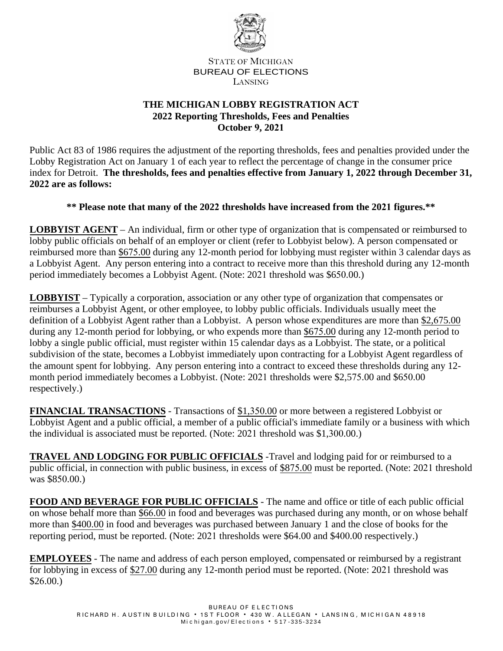

STATE OF MICHIGAN BUREAU OF ELECTIONS LANSING

## **THE MICHIGAN LOBBY REGISTRATION ACT 2022 Reporting Thresholds, Fees and Penalties October 9, 2021**

Public Act 83 of 1986 requires the adjustment of the reporting thresholds, fees and penalties provided under the Lobby Registration Act on January 1 of each year to reflect the percentage of change in the consumer price index for Detroit. **The thresholds, fees and penalties effective from January 1, 2022 through December 31, 2022 are as follows:**

## **\*\* Please note that many of the 2022 thresholds have increased from the 2021 figures.\*\***

**LOBBYIST AGENT** – An individual, firm or other type of organization that is compensated or reimbursed to lobby public officials on behalf of an employer or client (refer to Lobbyist below). A person compensated or reimbursed more than \$675.00 during any 12-month period for lobbying must register within 3 calendar days as a Lobbyist Agent. Any person entering into a contract to receive more than this threshold during any 12-month period immediately becomes a Lobbyist Agent. (Note: 2021 threshold was \$650.00.)

**LOBBYIST** – Typically a corporation, association or any other type of organization that compensates or reimburses a Lobbyist Agent, or other employee, to lobby public officials. Individuals usually meet the definition of a Lobbyist Agent rather than a Lobbyist. A person whose expenditures are more than \$2,675.00 during any 12-month period for lobbying, or who expends more than \$675.00 during any 12-month period to lobby a single public official, must register within 15 calendar days as a Lobbyist. The state, or a political subdivision of the state, becomes a Lobbyist immediately upon contracting for a Lobbyist Agent regardless of the amount spent for lobbying. Any person entering into a contract to exceed these thresholds during any 12 month period immediately becomes a Lobbyist. (Note: 2021 thresholds were \$2,575.00 and \$650.00 respectively.)

**FINANCIAL TRANSACTIONS** - Transactions of \$1,350.00 or more between a registered Lobbyist or Lobbyist Agent and a public official, a member of a public official's immediate family or a business with which the individual is associated must be reported. (Note: 2021 threshold was \$1,300.00.)

**TRAVEL AND LODGING FOR PUBLIC OFFICIALS** -Travel and lodging paid for or reimbursed to a public official, in connection with public business, in excess of \$875.00 must be reported. (Note: 2021 threshold was \$850.00.)

**FOOD AND BEVERAGE FOR PUBLIC OFFICIALS** - The name and office or title of each public official on whose behalf more than \$66.00 in food and beverages was purchased during any month, or on whose behalf more than \$400.00 in food and beverages was purchased between January 1 and the close of books for the reporting period, must be reported. (Note: 2021 thresholds were \$64.00 and \$400.00 respectively.)

**EMPLOYEES** - The name and address of each person employed, compensated or reimbursed by a registrant for lobbying in excess of \$27.00 during any 12-month period must be reported. (Note: 2021 threshold was \$26.00.)